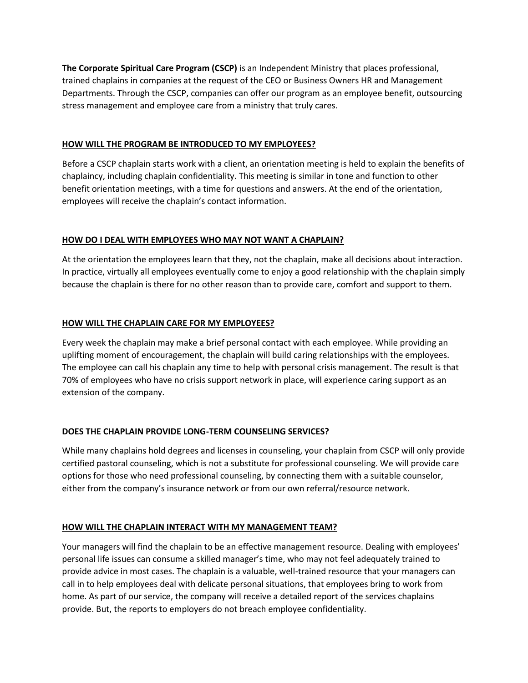**The Corporate Spiritual Care Program (CSCP)** is an Independent Ministry that places professional, trained chaplains in companies at the request of the CEO or Business Owners HR and Management Departments. Through the CSCP, companies can offer our program as an employee benefit, outsourcing stress management and employee care from a ministry that truly cares.

### **HOW WILL THE PROGRAM BE INTRODUCED TO MY EMPLOYEES?**

Before a CSCP chaplain starts work with a client, an orientation meeting is held to explain the benefits of chaplaincy, including chaplain confidentiality. This meeting is similar in tone and function to other benefit orientation meetings, with a time for questions and answers. At the end of the orientation, employees will receive the chaplain's contact information.

## **HOW DO I DEAL WITH EMPLOYEES WHO MAY NOT WANT A CHAPLAIN?**

At the orientation the employees learn that they, not the chaplain, make all decisions about interaction. In practice, virtually all employees eventually come to enjoy a good relationship with the chaplain simply because the chaplain is there for no other reason than to provide care, comfort and support to them.

## **HOW WILL THE CHAPLAIN CARE FOR MY EMPLOYEES?**

Every week the chaplain may make a brief personal contact with each employee. While providing an uplifting moment of encouragement, the chaplain will build caring relationships with the employees. The employee can call his chaplain any time to help with personal crisis management. The result is that 70% of employees who have no crisis support network in place, will experience caring support as an extension of the company.

## **DOES THE CHAPLAIN PROVIDE LONG-TERM COUNSELING SERVICES?**

While many chaplains hold degrees and licenses in counseling, your chaplain from CSCP will only provide certified pastoral counseling, which is not a substitute for professional counseling. We will provide care options for those who need professional counseling, by connecting them with a suitable counselor, either from the company's insurance network or from our own referral/resource network.

### **HOW WILL THE CHAPLAIN INTERACT WITH MY MANAGEMENT TEAM?**

Your managers will find the chaplain to be an effective management resource. Dealing with employees' personal life issues can consume a skilled manager's time, who may not feel adequately trained to provide advice in most cases. The chaplain is a valuable, well-trained resource that your managers can call in to help employees deal with delicate personal situations, that employees bring to work from home. As part of our service, the company will receive a detailed report of the services chaplains provide. But, the reports to employers do not breach employee confidentiality.